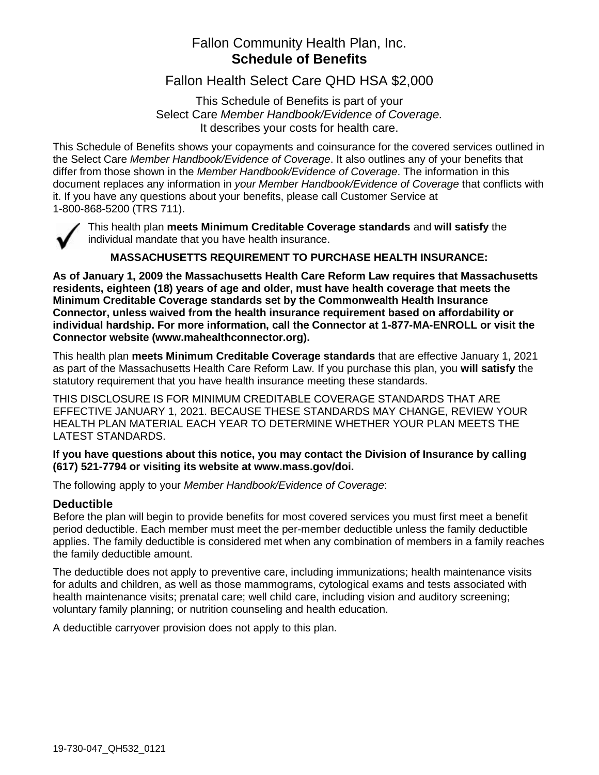# Fallon Community Health Plan, Inc. **Schedule of Benefits**

Fallon Health Select Care QHD HSA \$2,000

This Schedule of Benefits is part of your Select Care *Member Handbook/Evidence of Coverage.* It describes your costs for health care.

This Schedule of Benefits shows your copayments and coinsurance for the covered services outlined in the Select Care *Member Handbook/Evidence of Coverage*. It also outlines any of your benefits that differ from those shown in the *Member Handbook/Evidence of Coverage*. The information in this document replaces any information in *your Member Handbook/Evidence of Coverage* that conflicts with it. If you have any questions about your benefits, please call Customer Service at 1-800-868-5200 (TRS 711).



This health plan **meets Minimum Creditable Coverage standards** and **will satisfy** the individual mandate that you have health insurance.

# **MASSACHUSETTS REQUIREMENT TO PURCHASE HEALTH INSURANCE:**

**As of January 1, 2009 the Massachusetts Health Care Reform Law requires that Massachusetts residents, eighteen (18) years of age and older, must have health coverage that meets the Minimum Creditable Coverage standards set by the Commonwealth Health Insurance Connector, unless waived from the health insurance requirement based on affordability or individual hardship. For more information, call the Connector at 1-877-MA-ENROLL or visit the Connector website (www.mahealthconnector.org).** 

This health plan **meets Minimum Creditable Coverage standards** that are effective January 1, 2021 as part of the Massachusetts Health Care Reform Law. If you purchase this plan, you **will satisfy** the statutory requirement that you have health insurance meeting these standards.

THIS DISCLOSURE IS FOR MINIMUM CREDITABLE COVERAGE STANDARDS THAT ARE EFFECTIVE JANUARY 1, 2021. BECAUSE THESE STANDARDS MAY CHANGE, REVIEW YOUR HEALTH PLAN MATERIAL EACH YEAR TO DETERMINE WHETHER YOUR PLAN MEETS THE LATEST STANDARDS.

### **If you have questions about this notice, you may contact the Division of Insurance by calling (617) 521-7794 or visiting its website at www.mass.gov/doi.**

The following apply to your *Member Handbook/Evidence of Coverage*:

### **Deductible**

Before the plan will begin to provide benefits for most covered services you must first meet a benefit period deductible. Each member must meet the per-member deductible unless the family deductible applies. The family deductible is considered met when any combination of members in a family reaches the family deductible amount.

The deductible does not apply to preventive care, including immunizations; health maintenance visits for adults and children, as well as those mammograms, cytological exams and tests associated with health maintenance visits; prenatal care; well child care, including vision and auditory screening; voluntary family planning; or nutrition counseling and health education.

A deductible carryover provision does not apply to this plan.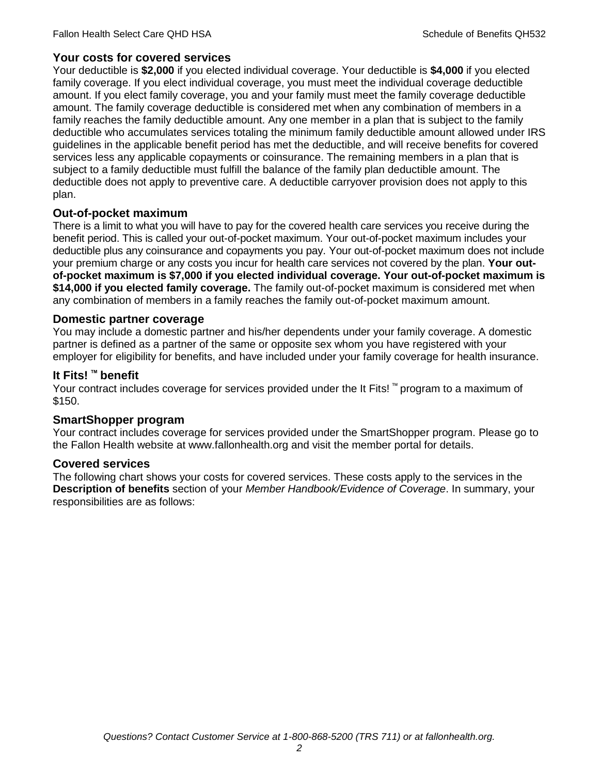## **Your costs for covered services**

Your deductible is **\$2,000** if you elected individual coverage. Your deductible is **\$4,000** if you elected family coverage. If you elect individual coverage, you must meet the individual coverage deductible amount. If you elect family coverage, you and your family must meet the family coverage deductible amount. The family coverage deductible is considered met when any combination of members in a family reaches the family deductible amount. Any one member in a plan that is subject to the family deductible who accumulates services totaling the minimum family deductible amount allowed under IRS guidelines in the applicable benefit period has met the deductible, and will receive benefits for covered services less any applicable copayments or coinsurance. The remaining members in a plan that is subject to a family deductible must fulfill the balance of the family plan deductible amount. The deductible does not apply to preventive care. A deductible carryover provision does not apply to this plan.

## **Out-of-pocket maximum**

There is a limit to what you will have to pay for the covered health care services you receive during the benefit period. This is called your out-of-pocket maximum. Your out-of-pocket maximum includes your deductible plus any coinsurance and copayments you pay. Your out-of-pocket maximum does not include your premium charge or any costs you incur for health care services not covered by the plan. **Your outof-pocket maximum is \$7,000 if you elected individual coverage. Your out-of-pocket maximum is \$14,000 if you elected family coverage.** The family out-of-pocket maximum is considered met when any combination of members in a family reaches the family out-of-pocket maximum amount.

### **Domestic partner coverage**

You may include a domestic partner and his/her dependents under your family coverage. A domestic partner is defined as a partner of the same or opposite sex whom you have registered with your employer for eligibility for benefits, and have included under your family coverage for health insurance.

# **It Fits! ™ benefit**

Your contract includes coverage for services provided under the It Fits! ™ program to a maximum of \$150.

### **SmartShopper program**

Your contract includes coverage for services provided under the SmartShopper program. Please go to the Fallon Health website at www.fallonhealth.org and visit the member portal for details.

### **Covered services**

The following chart shows your costs for covered services. These costs apply to the services in the **Description of benefits** section of your *Member Handbook/Evidence of Coverage*. In summary, your responsibilities are as follows: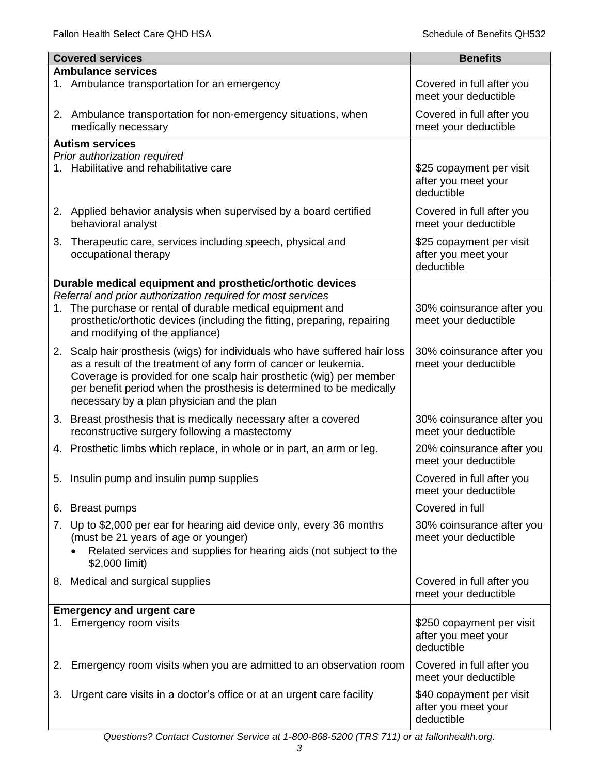|    | <b>Covered services</b>                                                                                                                                                                                                                                      | <b>Benefits</b>                                                |
|----|--------------------------------------------------------------------------------------------------------------------------------------------------------------------------------------------------------------------------------------------------------------|----------------------------------------------------------------|
|    | <b>Ambulance services</b>                                                                                                                                                                                                                                    |                                                                |
|    | 1. Ambulance transportation for an emergency                                                                                                                                                                                                                 | Covered in full after you<br>meet your deductible              |
|    | 2. Ambulance transportation for non-emergency situations, when<br>medically necessary                                                                                                                                                                        | Covered in full after you<br>meet your deductible              |
|    | <b>Autism services</b>                                                                                                                                                                                                                                       |                                                                |
|    | Prior authorization required                                                                                                                                                                                                                                 |                                                                |
|    | 1. Habilitative and rehabilitative care                                                                                                                                                                                                                      | \$25 copayment per visit<br>after you meet your<br>deductible  |
|    | 2. Applied behavior analysis when supervised by a board certified<br>behavioral analyst                                                                                                                                                                      | Covered in full after you<br>meet your deductible              |
| 3. | Therapeutic care, services including speech, physical and<br>occupational therapy                                                                                                                                                                            | \$25 copayment per visit<br>after you meet your<br>deductible  |
|    | Durable medical equipment and prosthetic/orthotic devices                                                                                                                                                                                                    |                                                                |
|    | Referral and prior authorization required for most services                                                                                                                                                                                                  |                                                                |
|    | 1. The purchase or rental of durable medical equipment and<br>prosthetic/orthotic devices (including the fitting, preparing, repairing<br>and modifying of the appliance)                                                                                    | 30% coinsurance after you<br>meet your deductible              |
|    | 2. Scalp hair prosthesis (wigs) for individuals who have suffered hair loss                                                                                                                                                                                  | 30% coinsurance after you                                      |
|    | as a result of the treatment of any form of cancer or leukemia.<br>Coverage is provided for one scalp hair prosthetic (wig) per member<br>per benefit period when the prosthesis is determined to be medically<br>necessary by a plan physician and the plan | meet your deductible                                           |
|    | 3. Breast prosthesis that is medically necessary after a covered<br>reconstructive surgery following a mastectomy                                                                                                                                            | 30% coinsurance after you<br>meet your deductible              |
|    | 4. Prosthetic limbs which replace, in whole or in part, an arm or leg.                                                                                                                                                                                       | 20% coinsurance after you<br>meet your deductible              |
|    | 5. Insulin pump and insulin pump supplies                                                                                                                                                                                                                    | Covered in full after you<br>meet your deductible              |
|    | 6. Breast pumps                                                                                                                                                                                                                                              | Covered in full                                                |
|    | 7. Up to \$2,000 per ear for hearing aid device only, every 36 months                                                                                                                                                                                        | 30% coinsurance after you                                      |
|    | (must be 21 years of age or younger)<br>Related services and supplies for hearing aids (not subject to the<br>\$2,000 limit)                                                                                                                                 | meet your deductible                                           |
|    | 8. Medical and surgical supplies                                                                                                                                                                                                                             | Covered in full after you<br>meet your deductible              |
|    | <b>Emergency and urgent care</b>                                                                                                                                                                                                                             |                                                                |
| 1. | Emergency room visits                                                                                                                                                                                                                                        | \$250 copayment per visit<br>after you meet your<br>deductible |
| 2. | Emergency room visits when you are admitted to an observation room                                                                                                                                                                                           | Covered in full after you<br>meet your deductible              |
| 3. | Urgent care visits in a doctor's office or at an urgent care facility                                                                                                                                                                                        | \$40 copayment per visit<br>after you meet your<br>deductible  |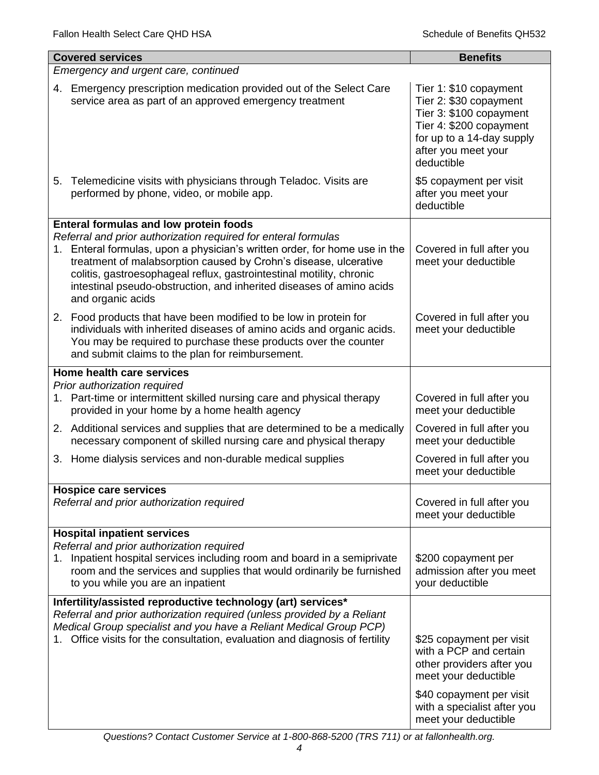|                                      | <b>Covered services</b>                                                                                                                                                                                                                                                                                                                                                               | <b>Benefits</b>                                                                                                                                                                            |  |
|--------------------------------------|---------------------------------------------------------------------------------------------------------------------------------------------------------------------------------------------------------------------------------------------------------------------------------------------------------------------------------------------------------------------------------------|--------------------------------------------------------------------------------------------------------------------------------------------------------------------------------------------|--|
| Emergency and urgent care, continued |                                                                                                                                                                                                                                                                                                                                                                                       |                                                                                                                                                                                            |  |
|                                      | 4. Emergency prescription medication provided out of the Select Care<br>service area as part of an approved emergency treatment                                                                                                                                                                                                                                                       | Tier 1: \$10 copayment<br>Tier 2: \$30 copayment<br>Tier 3: \$100 copayment<br>Tier 4: \$200 copayment<br>for up to a 14-day supply<br>after you meet your<br>deductible                   |  |
|                                      | 5. Telemedicine visits with physicians through Teladoc. Visits are<br>performed by phone, video, or mobile app.                                                                                                                                                                                                                                                                       | \$5 copayment per visit<br>after you meet your<br>deductible                                                                                                                               |  |
|                                      | <b>Enteral formulas and low protein foods</b>                                                                                                                                                                                                                                                                                                                                         |                                                                                                                                                                                            |  |
|                                      | Referral and prior authorization required for enteral formulas<br>1. Enteral formulas, upon a physician's written order, for home use in the<br>treatment of malabsorption caused by Crohn's disease, ulcerative<br>colitis, gastroesophageal reflux, gastrointestinal motility, chronic<br>intestinal pseudo-obstruction, and inherited diseases of amino acids<br>and organic acids | Covered in full after you<br>meet your deductible                                                                                                                                          |  |
|                                      | 2. Food products that have been modified to be low in protein for<br>individuals with inherited diseases of amino acids and organic acids.<br>You may be required to purchase these products over the counter<br>and submit claims to the plan for reimbursement.                                                                                                                     | Covered in full after you<br>meet your deductible                                                                                                                                          |  |
|                                      | Home health care services                                                                                                                                                                                                                                                                                                                                                             |                                                                                                                                                                                            |  |
|                                      | Prior authorization required<br>1. Part-time or intermittent skilled nursing care and physical therapy<br>provided in your home by a home health agency                                                                                                                                                                                                                               | Covered in full after you<br>meet your deductible                                                                                                                                          |  |
|                                      | 2. Additional services and supplies that are determined to be a medically<br>necessary component of skilled nursing care and physical therapy                                                                                                                                                                                                                                         | Covered in full after you<br>meet your deductible                                                                                                                                          |  |
|                                      | 3. Home dialysis services and non-durable medical supplies                                                                                                                                                                                                                                                                                                                            | Covered in full after you<br>meet your deductible                                                                                                                                          |  |
|                                      | <b>Hospice care services</b>                                                                                                                                                                                                                                                                                                                                                          |                                                                                                                                                                                            |  |
|                                      | Referral and prior authorization required                                                                                                                                                                                                                                                                                                                                             | Covered in full after you<br>meet your deductible                                                                                                                                          |  |
| 1.                                   | <b>Hospital inpatient services</b><br>Referral and prior authorization required<br>Inpatient hospital services including room and board in a semiprivate<br>room and the services and supplies that would ordinarily be furnished<br>to you while you are an inpatient                                                                                                                | \$200 copayment per<br>admission after you meet<br>your deductible                                                                                                                         |  |
|                                      | Infertility/assisted reproductive technology (art) services*                                                                                                                                                                                                                                                                                                                          |                                                                                                                                                                                            |  |
|                                      | Referral and prior authorization required (unless provided by a Reliant<br>Medical Group specialist and you have a Reliant Medical Group PCP)<br>Office visits for the consultation, evaluation and diagnosis of fertility                                                                                                                                                            | \$25 copayment per visit<br>with a PCP and certain<br>other providers after you<br>meet your deductible<br>\$40 copayment per visit<br>with a specialist after you<br>meet your deductible |  |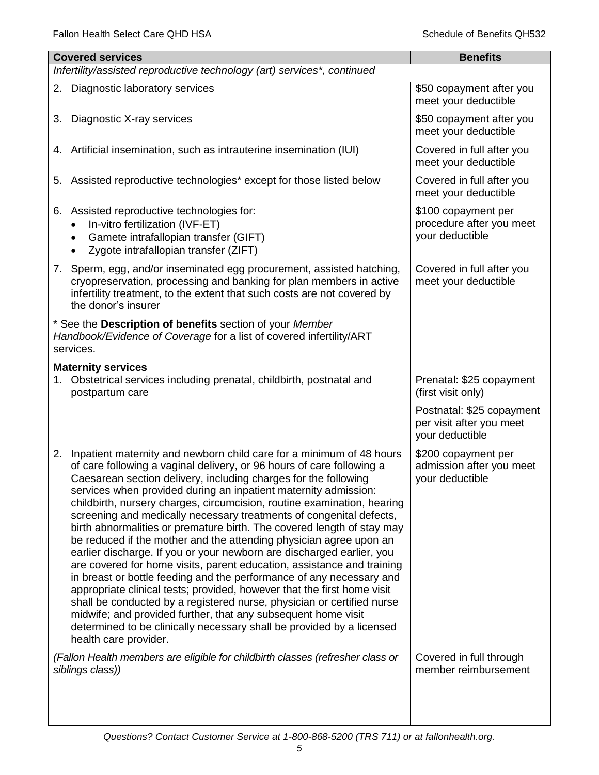| <b>Covered services</b>                                                                                                                                                                                                                                                                                                                                                                                                                                                                                                                                                                                                                                                                                                                                                                                                                                                                                                                                                                                                                                                                                                                        | <b>Benefits</b>                                                          |
|------------------------------------------------------------------------------------------------------------------------------------------------------------------------------------------------------------------------------------------------------------------------------------------------------------------------------------------------------------------------------------------------------------------------------------------------------------------------------------------------------------------------------------------------------------------------------------------------------------------------------------------------------------------------------------------------------------------------------------------------------------------------------------------------------------------------------------------------------------------------------------------------------------------------------------------------------------------------------------------------------------------------------------------------------------------------------------------------------------------------------------------------|--------------------------------------------------------------------------|
| Infertility/assisted reproductive technology (art) services*, continued                                                                                                                                                                                                                                                                                                                                                                                                                                                                                                                                                                                                                                                                                                                                                                                                                                                                                                                                                                                                                                                                        |                                                                          |
| 2. Diagnostic laboratory services                                                                                                                                                                                                                                                                                                                                                                                                                                                                                                                                                                                                                                                                                                                                                                                                                                                                                                                                                                                                                                                                                                              | \$50 copayment after you<br>meet your deductible                         |
| Diagnostic X-ray services<br>3.                                                                                                                                                                                                                                                                                                                                                                                                                                                                                                                                                                                                                                                                                                                                                                                                                                                                                                                                                                                                                                                                                                                | \$50 copayment after you<br>meet your deductible                         |
| 4. Artificial insemination, such as intrauterine insemination (IUI)                                                                                                                                                                                                                                                                                                                                                                                                                                                                                                                                                                                                                                                                                                                                                                                                                                                                                                                                                                                                                                                                            | Covered in full after you<br>meet your deductible                        |
| Assisted reproductive technologies* except for those listed below<br>5.                                                                                                                                                                                                                                                                                                                                                                                                                                                                                                                                                                                                                                                                                                                                                                                                                                                                                                                                                                                                                                                                        | Covered in full after you<br>meet your deductible                        |
| 6. Assisted reproductive technologies for:<br>In-vitro fertilization (IVF-ET)<br>Gamete intrafallopian transfer (GIFT)<br>$\bullet$<br>Zygote intrafallopian transfer (ZIFT)                                                                                                                                                                                                                                                                                                                                                                                                                                                                                                                                                                                                                                                                                                                                                                                                                                                                                                                                                                   | \$100 copayment per<br>procedure after you meet<br>your deductible       |
| 7. Sperm, egg, and/or inseminated egg procurement, assisted hatching,<br>cryopreservation, processing and banking for plan members in active<br>infertility treatment, to the extent that such costs are not covered by<br>the donor's insurer                                                                                                                                                                                                                                                                                                                                                                                                                                                                                                                                                                                                                                                                                                                                                                                                                                                                                                 | Covered in full after you<br>meet your deductible                        |
| * See the Description of benefits section of your Member<br>Handbook/Evidence of Coverage for a list of covered infertility/ART<br>services.                                                                                                                                                                                                                                                                                                                                                                                                                                                                                                                                                                                                                                                                                                                                                                                                                                                                                                                                                                                                   |                                                                          |
| <b>Maternity services</b><br>Obstetrical services including prenatal, childbirth, postnatal and<br>1.<br>postpartum care                                                                                                                                                                                                                                                                                                                                                                                                                                                                                                                                                                                                                                                                                                                                                                                                                                                                                                                                                                                                                       | Prenatal: \$25 copayment<br>(first visit only)                           |
|                                                                                                                                                                                                                                                                                                                                                                                                                                                                                                                                                                                                                                                                                                                                                                                                                                                                                                                                                                                                                                                                                                                                                | Postnatal: \$25 copayment<br>per visit after you meet<br>your deductible |
| Inpatient maternity and newborn child care for a minimum of 48 hours<br>2.<br>of care following a vaginal delivery, or 96 hours of care following a<br>Caesarean section delivery, including charges for the following<br>services when provided during an inpatient maternity admission:<br>childbirth, nursery charges, circumcision, routine examination, hearing<br>screening and medically necessary treatments of congenital defects,<br>birth abnormalities or premature birth. The covered length of stay may<br>be reduced if the mother and the attending physician agree upon an<br>earlier discharge. If you or your newborn are discharged earlier, you<br>are covered for home visits, parent education, assistance and training<br>in breast or bottle feeding and the performance of any necessary and<br>appropriate clinical tests; provided, however that the first home visit<br>shall be conducted by a registered nurse, physician or certified nurse<br>midwife; and provided further, that any subsequent home visit<br>determined to be clinically necessary shall be provided by a licensed<br>health care provider. | \$200 copayment per<br>admission after you meet<br>your deductible       |
| (Fallon Health members are eligible for childbirth classes (refresher class or<br>siblings class))                                                                                                                                                                                                                                                                                                                                                                                                                                                                                                                                                                                                                                                                                                                                                                                                                                                                                                                                                                                                                                             | Covered in full through<br>member reimbursement                          |
|                                                                                                                                                                                                                                                                                                                                                                                                                                                                                                                                                                                                                                                                                                                                                                                                                                                                                                                                                                                                                                                                                                                                                |                                                                          |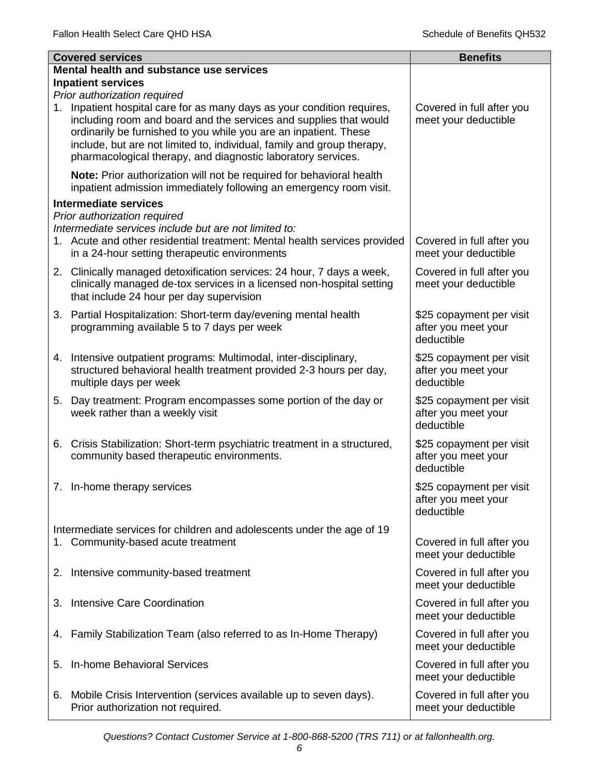|    | <b>Covered services</b>                                                                                                                                                                                                                                                                                                                                                                 | <b>Benefits</b>                                               |
|----|-----------------------------------------------------------------------------------------------------------------------------------------------------------------------------------------------------------------------------------------------------------------------------------------------------------------------------------------------------------------------------------------|---------------------------------------------------------------|
|    | Mental health and substance use services                                                                                                                                                                                                                                                                                                                                                |                                                               |
|    | <b>Inpatient services</b>                                                                                                                                                                                                                                                                                                                                                               |                                                               |
| 1. | Prior authorization required<br>Inpatient hospital care for as many days as your condition requires,<br>including room and board and the services and supplies that would<br>ordinarily be furnished to you while you are an inpatient. These<br>include, but are not limited to, individual, family and group therapy,<br>pharmacological therapy, and diagnostic laboratory services. | Covered in full after you<br>meet your deductible             |
|    | Note: Prior authorization will not be required for behavioral health<br>inpatient admission immediately following an emergency room visit.                                                                                                                                                                                                                                              |                                                               |
|    | <b>Intermediate services</b>                                                                                                                                                                                                                                                                                                                                                            |                                                               |
|    | Prior authorization required<br>Intermediate services include but are not limited to:<br>1. Acute and other residential treatment: Mental health services provided<br>in a 24-hour setting therapeutic environments                                                                                                                                                                     | Covered in full after you<br>meet your deductible             |
|    | 2. Clinically managed detoxification services: 24 hour, 7 days a week,<br>clinically managed de-tox services in a licensed non-hospital setting<br>that include 24 hour per day supervision                                                                                                                                                                                             | Covered in full after you<br>meet your deductible             |
|    | 3. Partial Hospitalization: Short-term day/evening mental health<br>programming available 5 to 7 days per week                                                                                                                                                                                                                                                                          | \$25 copayment per visit<br>after you meet your<br>deductible |
|    | 4. Intensive outpatient programs: Multimodal, inter-disciplinary,<br>structured behavioral health treatment provided 2-3 hours per day,<br>multiple days per week                                                                                                                                                                                                                       | \$25 copayment per visit<br>after you meet your<br>deductible |
|    | 5. Day treatment: Program encompasses some portion of the day or<br>week rather than a weekly visit                                                                                                                                                                                                                                                                                     | \$25 copayment per visit<br>after you meet your<br>deductible |
| 6. | Crisis Stabilization: Short-term psychiatric treatment in a structured,<br>community based therapeutic environments.                                                                                                                                                                                                                                                                    | \$25 copayment per visit<br>after you meet your<br>deductible |
|    | 7. In-home therapy services                                                                                                                                                                                                                                                                                                                                                             | \$25 copayment per visit<br>after you meet your<br>deductible |
|    | Intermediate services for children and adolescents under the age of 19                                                                                                                                                                                                                                                                                                                  |                                                               |
| 1. | Community-based acute treatment                                                                                                                                                                                                                                                                                                                                                         | Covered in full after you<br>meet your deductible             |
|    | 2. Intensive community-based treatment                                                                                                                                                                                                                                                                                                                                                  | Covered in full after you<br>meet your deductible             |
| 3. | Intensive Care Coordination                                                                                                                                                                                                                                                                                                                                                             | Covered in full after you<br>meet your deductible             |
| 4. | Family Stabilization Team (also referred to as In-Home Therapy)                                                                                                                                                                                                                                                                                                                         | Covered in full after you<br>meet your deductible             |
| 5. | In-home Behavioral Services                                                                                                                                                                                                                                                                                                                                                             | Covered in full after you<br>meet your deductible             |
| 6. | Mobile Crisis Intervention (services available up to seven days).<br>Prior authorization not required.                                                                                                                                                                                                                                                                                  | Covered in full after you<br>meet your deductible             |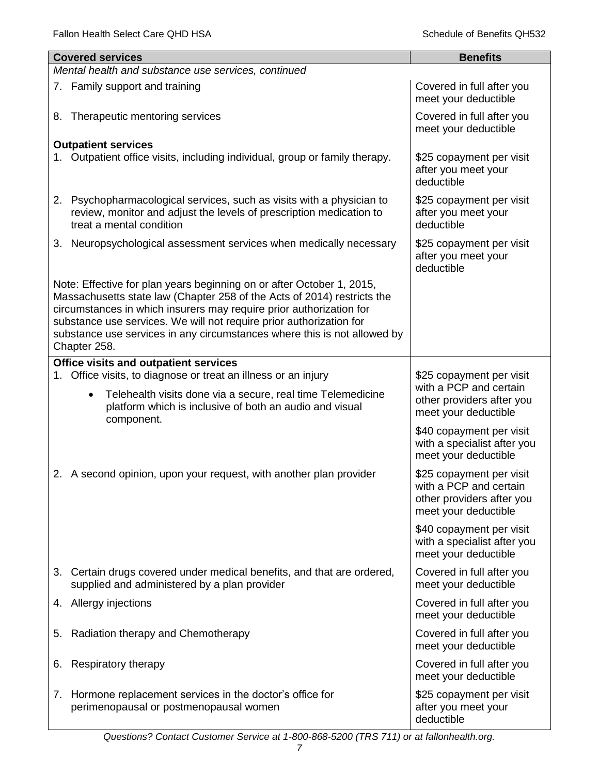|    | <b>Covered services</b>                                                                                                                                                                                                                                                                                                                                                                    | <b>Benefits</b>                                                                                         |
|----|--------------------------------------------------------------------------------------------------------------------------------------------------------------------------------------------------------------------------------------------------------------------------------------------------------------------------------------------------------------------------------------------|---------------------------------------------------------------------------------------------------------|
|    | Mental health and substance use services, continued                                                                                                                                                                                                                                                                                                                                        |                                                                                                         |
|    | 7. Family support and training                                                                                                                                                                                                                                                                                                                                                             | Covered in full after you<br>meet your deductible                                                       |
|    | 8. Therapeutic mentoring services                                                                                                                                                                                                                                                                                                                                                          | Covered in full after you<br>meet your deductible                                                       |
|    | <b>Outpatient services</b>                                                                                                                                                                                                                                                                                                                                                                 |                                                                                                         |
|    | 1. Outpatient office visits, including individual, group or family therapy.                                                                                                                                                                                                                                                                                                                | \$25 copayment per visit<br>after you meet your<br>deductible                                           |
|    | 2. Psychopharmacological services, such as visits with a physician to<br>review, monitor and adjust the levels of prescription medication to<br>treat a mental condition                                                                                                                                                                                                                   | \$25 copayment per visit<br>after you meet your<br>deductible                                           |
|    | 3. Neuropsychological assessment services when medically necessary                                                                                                                                                                                                                                                                                                                         | \$25 copayment per visit<br>after you meet your<br>deductible                                           |
|    | Note: Effective for plan years beginning on or after October 1, 2015,<br>Massachusetts state law (Chapter 258 of the Acts of 2014) restricts the<br>circumstances in which insurers may require prior authorization for<br>substance use services. We will not require prior authorization for<br>substance use services in any circumstances where this is not allowed by<br>Chapter 258. |                                                                                                         |
|    | <b>Office visits and outpatient services</b>                                                                                                                                                                                                                                                                                                                                               |                                                                                                         |
| 1. | Office visits, to diagnose or treat an illness or an injury<br>Telehealth visits done via a secure, real time Telemedicine<br>$\bullet$<br>platform which is inclusive of both an audio and visual                                                                                                                                                                                         | \$25 copayment per visit<br>with a PCP and certain<br>other providers after you<br>meet your deductible |
|    | component.                                                                                                                                                                                                                                                                                                                                                                                 | \$40 copayment per visit<br>with a specialist after you<br>meet your deductible                         |
|    | 2. A second opinion, upon your request, with another plan provider                                                                                                                                                                                                                                                                                                                         | \$25 copayment per visit<br>with a PCP and certain<br>other providers after you<br>meet your deductible |
|    |                                                                                                                                                                                                                                                                                                                                                                                            | \$40 copayment per visit<br>with a specialist after you<br>meet your deductible                         |
|    | 3. Certain drugs covered under medical benefits, and that are ordered,<br>supplied and administered by a plan provider                                                                                                                                                                                                                                                                     | Covered in full after you<br>meet your deductible                                                       |
|    | 4. Allergy injections                                                                                                                                                                                                                                                                                                                                                                      | Covered in full after you<br>meet your deductible                                                       |
| 5. | Radiation therapy and Chemotherapy                                                                                                                                                                                                                                                                                                                                                         | Covered in full after you<br>meet your deductible                                                       |
| 6. | Respiratory therapy                                                                                                                                                                                                                                                                                                                                                                        | Covered in full after you<br>meet your deductible                                                       |
|    | 7. Hormone replacement services in the doctor's office for<br>perimenopausal or postmenopausal women                                                                                                                                                                                                                                                                                       | \$25 copayment per visit<br>after you meet your<br>deductible                                           |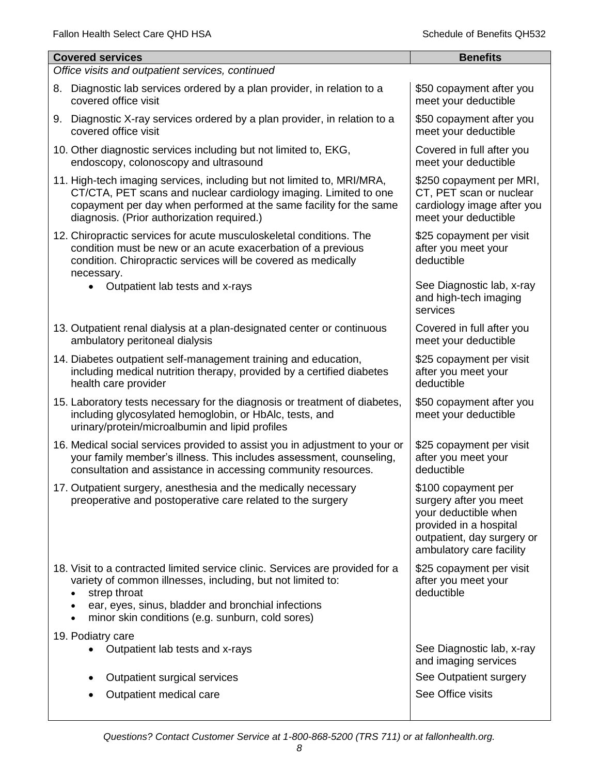| <b>Covered services</b><br><b>Benefits</b>                                                                                                                                                                                                                             |                                                                                                                                                           |  |  |
|------------------------------------------------------------------------------------------------------------------------------------------------------------------------------------------------------------------------------------------------------------------------|-----------------------------------------------------------------------------------------------------------------------------------------------------------|--|--|
| Office visits and outpatient services, continued                                                                                                                                                                                                                       |                                                                                                                                                           |  |  |
|                                                                                                                                                                                                                                                                        |                                                                                                                                                           |  |  |
| Diagnostic lab services ordered by a plan provider, in relation to a<br>8.<br>covered office visit                                                                                                                                                                     | \$50 copayment after you<br>meet your deductible                                                                                                          |  |  |
| 9. Diagnostic X-ray services ordered by a plan provider, in relation to a<br>covered office visit                                                                                                                                                                      | \$50 copayment after you<br>meet your deductible                                                                                                          |  |  |
| 10. Other diagnostic services including but not limited to, EKG,<br>endoscopy, colonoscopy and ultrasound                                                                                                                                                              | Covered in full after you<br>meet your deductible                                                                                                         |  |  |
| 11. High-tech imaging services, including but not limited to, MRI/MRA,<br>CT/CTA, PET scans and nuclear cardiology imaging. Limited to one<br>copayment per day when performed at the same facility for the same<br>diagnosis. (Prior authorization required.)         | \$250 copayment per MRI,<br>CT, PET scan or nuclear<br>cardiology image after you<br>meet your deductible                                                 |  |  |
| 12. Chiropractic services for acute musculoskeletal conditions. The<br>condition must be new or an acute exacerbation of a previous<br>condition. Chiropractic services will be covered as medically<br>necessary.                                                     | \$25 copayment per visit<br>after you meet your<br>deductible                                                                                             |  |  |
| Outpatient lab tests and x-rays<br>$\bullet$                                                                                                                                                                                                                           | See Diagnostic lab, x-ray<br>and high-tech imaging<br>services                                                                                            |  |  |
| 13. Outpatient renal dialysis at a plan-designated center or continuous<br>ambulatory peritoneal dialysis                                                                                                                                                              | Covered in full after you<br>meet your deductible                                                                                                         |  |  |
| 14. Diabetes outpatient self-management training and education,<br>including medical nutrition therapy, provided by a certified diabetes<br>health care provider                                                                                                       | \$25 copayment per visit<br>after you meet your<br>deductible                                                                                             |  |  |
| 15. Laboratory tests necessary for the diagnosis or treatment of diabetes,<br>including glycosylated hemoglobin, or HbAlc, tests, and<br>urinary/protein/microalbumin and lipid profiles                                                                               | \$50 copayment after you<br>meet your deductible                                                                                                          |  |  |
| 16. Medical social services provided to assist you in adjustment to your or<br>your family member's illness. This includes assessment, counseling,<br>consultation and assistance in accessing community resources.                                                    | \$25 copayment per visit<br>after you meet your<br>deductible                                                                                             |  |  |
| 17. Outpatient surgery, anesthesia and the medically necessary<br>preoperative and postoperative care related to the surgery                                                                                                                                           | \$100 copayment per<br>surgery after you meet<br>your deductible when<br>provided in a hospital<br>outpatient, day surgery or<br>ambulatory care facility |  |  |
| 18. Visit to a contracted limited service clinic. Services are provided for a<br>variety of common illnesses, including, but not limited to:<br>strep throat<br>ear, eyes, sinus, bladder and bronchial infections<br>minor skin conditions (e.g. sunburn, cold sores) | \$25 copayment per visit<br>after you meet your<br>deductible                                                                                             |  |  |
| 19. Podiatry care<br>Outpatient lab tests and x-rays                                                                                                                                                                                                                   | See Diagnostic lab, x-ray<br>and imaging services                                                                                                         |  |  |
| Outpatient surgical services<br>٠                                                                                                                                                                                                                                      | See Outpatient surgery                                                                                                                                    |  |  |
| Outpatient medical care                                                                                                                                                                                                                                                | See Office visits                                                                                                                                         |  |  |
|                                                                                                                                                                                                                                                                        |                                                                                                                                                           |  |  |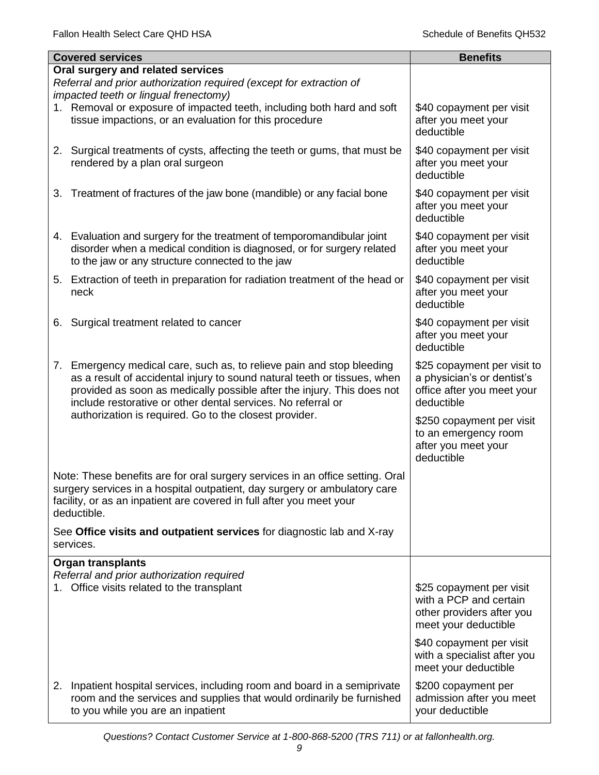|    | <b>Covered services</b>                                                                                                                                                                                                                                                                     | <b>Benefits</b>                                                                                         |
|----|---------------------------------------------------------------------------------------------------------------------------------------------------------------------------------------------------------------------------------------------------------------------------------------------|---------------------------------------------------------------------------------------------------------|
|    | Oral surgery and related services<br>Referral and prior authorization required (except for extraction of<br>impacted teeth or lingual frenectomy)                                                                                                                                           |                                                                                                         |
|    | 1. Removal or exposure of impacted teeth, including both hard and soft<br>tissue impactions, or an evaluation for this procedure                                                                                                                                                            | \$40 copayment per visit<br>after you meet your<br>deductible                                           |
|    | 2. Surgical treatments of cysts, affecting the teeth or gums, that must be<br>rendered by a plan oral surgeon                                                                                                                                                                               | \$40 copayment per visit<br>after you meet your<br>deductible                                           |
| 3. | Treatment of fractures of the jaw bone (mandible) or any facial bone                                                                                                                                                                                                                        | \$40 copayment per visit<br>after you meet your<br>deductible                                           |
|    | 4. Evaluation and surgery for the treatment of temporomandibular joint<br>disorder when a medical condition is diagnosed, or for surgery related<br>to the jaw or any structure connected to the jaw                                                                                        | \$40 copayment per visit<br>after you meet your<br>deductible                                           |
|    | 5. Extraction of teeth in preparation for radiation treatment of the head or<br>neck                                                                                                                                                                                                        | \$40 copayment per visit<br>after you meet your<br>deductible                                           |
| 6. | Surgical treatment related to cancer                                                                                                                                                                                                                                                        | \$40 copayment per visit<br>after you meet your<br>deductible                                           |
|    | 7. Emergency medical care, such as, to relieve pain and stop bleeding<br>as a result of accidental injury to sound natural teeth or tissues, when<br>provided as soon as medically possible after the injury. This does not<br>include restorative or other dental services. No referral or | \$25 copayment per visit to<br>a physician's or dentist's<br>office after you meet your<br>deductible   |
|    | authorization is required. Go to the closest provider.                                                                                                                                                                                                                                      | \$250 copayment per visit<br>to an emergency room<br>after you meet your<br>deductible                  |
|    | Note: These benefits are for oral surgery services in an office setting. Oral<br>surgery services in a hospital outpatient, day surgery or ambulatory care<br>facility, or as an inpatient are covered in full after you meet your<br>deductible.                                           |                                                                                                         |
|    | See Office visits and outpatient services for diagnostic lab and X-ray<br>services.                                                                                                                                                                                                         |                                                                                                         |
|    | <b>Organ transplants</b><br>Referral and prior authorization required                                                                                                                                                                                                                       |                                                                                                         |
|    | 1. Office visits related to the transplant                                                                                                                                                                                                                                                  | \$25 copayment per visit<br>with a PCP and certain<br>other providers after you<br>meet your deductible |
|    |                                                                                                                                                                                                                                                                                             | \$40 copayment per visit<br>with a specialist after you<br>meet your deductible                         |
|    | 2. Inpatient hospital services, including room and board in a semiprivate<br>room and the services and supplies that would ordinarily be furnished<br>to you while you are an inpatient                                                                                                     | \$200 copayment per<br>admission after you meet<br>your deductible                                      |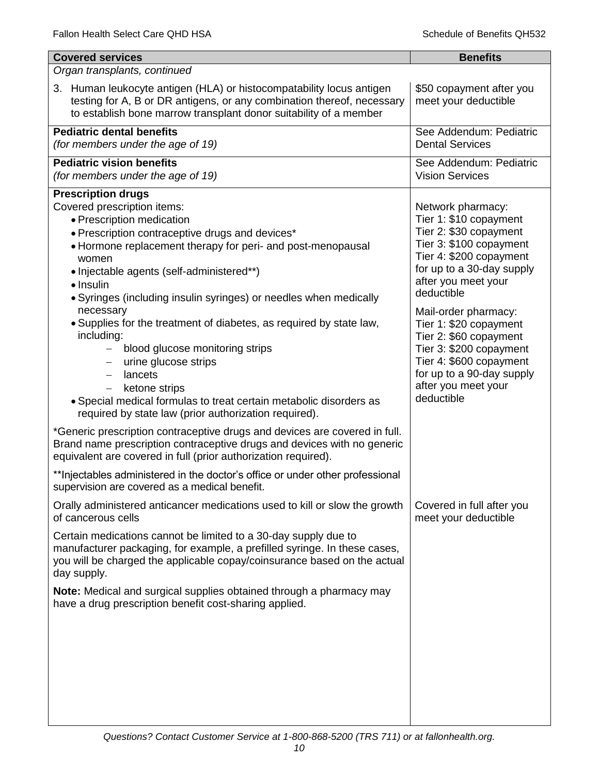| <b>Covered services</b>                                                                                                                                                                                                                                                                                                                                                                                                                                                                                                                                                                                                                                                                                                                                                                                                                                                                                                                             | <b>Benefits</b>                                                                                                                                                                                                                                                                                                                                                                                   |
|-----------------------------------------------------------------------------------------------------------------------------------------------------------------------------------------------------------------------------------------------------------------------------------------------------------------------------------------------------------------------------------------------------------------------------------------------------------------------------------------------------------------------------------------------------------------------------------------------------------------------------------------------------------------------------------------------------------------------------------------------------------------------------------------------------------------------------------------------------------------------------------------------------------------------------------------------------|---------------------------------------------------------------------------------------------------------------------------------------------------------------------------------------------------------------------------------------------------------------------------------------------------------------------------------------------------------------------------------------------------|
| Organ transplants, continued                                                                                                                                                                                                                                                                                                                                                                                                                                                                                                                                                                                                                                                                                                                                                                                                                                                                                                                        |                                                                                                                                                                                                                                                                                                                                                                                                   |
| 3. Human leukocyte antigen (HLA) or histocompatability locus antigen<br>testing for A, B or DR antigens, or any combination thereof, necessary<br>to establish bone marrow transplant donor suitability of a member                                                                                                                                                                                                                                                                                                                                                                                                                                                                                                                                                                                                                                                                                                                                 | \$50 copayment after you<br>meet your deductible                                                                                                                                                                                                                                                                                                                                                  |
| <b>Pediatric dental benefits</b><br>(for members under the age of 19)                                                                                                                                                                                                                                                                                                                                                                                                                                                                                                                                                                                                                                                                                                                                                                                                                                                                               | See Addendum: Pediatric<br><b>Dental Services</b>                                                                                                                                                                                                                                                                                                                                                 |
| <b>Pediatric vision benefits</b><br>(for members under the age of 19)                                                                                                                                                                                                                                                                                                                                                                                                                                                                                                                                                                                                                                                                                                                                                                                                                                                                               | See Addendum: Pediatric<br><b>Vision Services</b>                                                                                                                                                                                                                                                                                                                                                 |
| <b>Prescription drugs</b><br>Covered prescription items:<br>• Prescription medication<br>• Prescription contraceptive drugs and devices*<br>• Hormone replacement therapy for peri- and post-menopausal<br>women<br>• Injectable agents (self-administered**)<br>• Insulin<br>• Syringes (including insulin syringes) or needles when medically<br>necessary<br>• Supplies for the treatment of diabetes, as required by state law,<br>including:<br>blood glucose monitoring strips<br>$\qquad \qquad -$<br>urine glucose strips<br>lancets<br>ketone strips<br>$\overline{\phantom{0}}$<br>• Special medical formulas to treat certain metabolic disorders as<br>required by state law (prior authorization required).<br>*Generic prescription contraceptive drugs and devices are covered in full.<br>Brand name prescription contraceptive drugs and devices with no generic<br>equivalent are covered in full (prior authorization required). | Network pharmacy:<br>Tier 1: \$10 copayment<br>Tier 2: \$30 copayment<br>Tier 3: \$100 copayment<br>Tier 4: \$200 copayment<br>for up to a 30-day supply<br>after you meet your<br>deductible<br>Mail-order pharmacy:<br>Tier 1: \$20 copayment<br>Tier 2: \$60 copayment<br>Tier 3: \$200 copayment<br>Tier 4: \$600 copayment<br>for up to a 90-day supply<br>after you meet your<br>deductible |
| ** Injectables administered in the doctor's office or under other professional<br>supervision are covered as a medical benefit.<br>Orally administered anticancer medications used to kill or slow the growth                                                                                                                                                                                                                                                                                                                                                                                                                                                                                                                                                                                                                                                                                                                                       | Covered in full after you                                                                                                                                                                                                                                                                                                                                                                         |
| of cancerous cells<br>Certain medications cannot be limited to a 30-day supply due to<br>manufacturer packaging, for example, a prefilled syringe. In these cases,<br>you will be charged the applicable copay/coinsurance based on the actual<br>day supply.<br>Note: Medical and surgical supplies obtained through a pharmacy may<br>have a drug prescription benefit cost-sharing applied.                                                                                                                                                                                                                                                                                                                                                                                                                                                                                                                                                      | meet your deductible                                                                                                                                                                                                                                                                                                                                                                              |
|                                                                                                                                                                                                                                                                                                                                                                                                                                                                                                                                                                                                                                                                                                                                                                                                                                                                                                                                                     |                                                                                                                                                                                                                                                                                                                                                                                                   |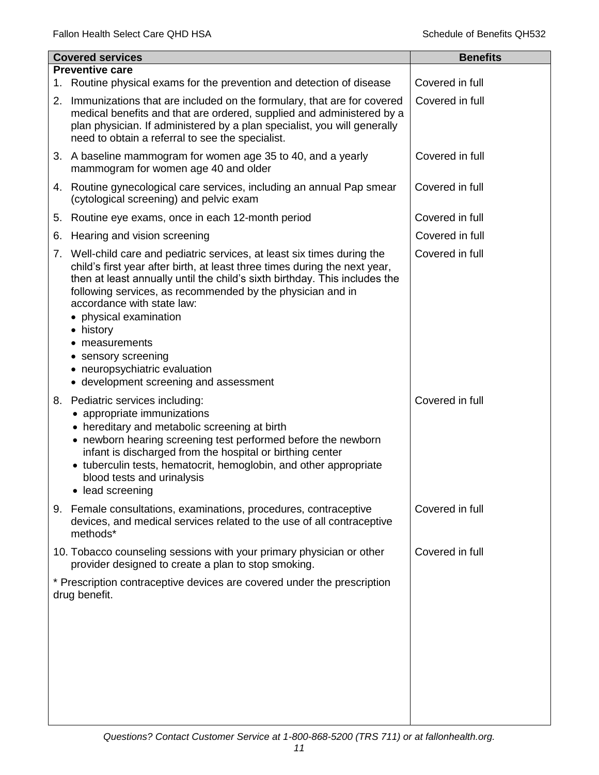|    | <b>Covered services</b>                                                                                                                                                                                                                                                                                                                                                                                                                                                                   | <b>Benefits</b> |
|----|-------------------------------------------------------------------------------------------------------------------------------------------------------------------------------------------------------------------------------------------------------------------------------------------------------------------------------------------------------------------------------------------------------------------------------------------------------------------------------------------|-----------------|
| 1. | <b>Preventive care</b><br>Routine physical exams for the prevention and detection of disease                                                                                                                                                                                                                                                                                                                                                                                              | Covered in full |
| 2. | Immunizations that are included on the formulary, that are for covered<br>medical benefits and that are ordered, supplied and administered by a<br>plan physician. If administered by a plan specialist, you will generally<br>need to obtain a referral to see the specialist.                                                                                                                                                                                                           | Covered in full |
|    | 3. A baseline mammogram for women age 35 to 40, and a yearly<br>mammogram for women age 40 and older                                                                                                                                                                                                                                                                                                                                                                                      | Covered in full |
|    | 4. Routine gynecological care services, including an annual Pap smear<br>(cytological screening) and pelvic exam                                                                                                                                                                                                                                                                                                                                                                          | Covered in full |
| 5. | Routine eye exams, once in each 12-month period                                                                                                                                                                                                                                                                                                                                                                                                                                           | Covered in full |
| 6. | Hearing and vision screening                                                                                                                                                                                                                                                                                                                                                                                                                                                              | Covered in full |
| 7. | Well-child care and pediatric services, at least six times during the<br>child's first year after birth, at least three times during the next year,<br>then at least annually until the child's sixth birthday. This includes the<br>following services, as recommended by the physician and in<br>accordance with state law:<br>physical examination<br>• history<br>measurements<br>٠<br>• sensory screening<br>• neuropsychiatric evaluation<br>• development screening and assessment | Covered in full |
| 8. | Pediatric services including:<br>• appropriate immunizations<br>• hereditary and metabolic screening at birth<br>• newborn hearing screening test performed before the newborn<br>infant is discharged from the hospital or birthing center<br>• tuberculin tests, hematocrit, hemoglobin, and other appropriate<br>blood tests and urinalysis<br>• lead screening                                                                                                                        | Covered in full |
|    | 9. Female consultations, examinations, procedures, contraceptive<br>devices, and medical services related to the use of all contraceptive<br>methods*                                                                                                                                                                                                                                                                                                                                     | Covered in full |
|    | 10. Tobacco counseling sessions with your primary physician or other<br>provider designed to create a plan to stop smoking.                                                                                                                                                                                                                                                                                                                                                               | Covered in full |
|    | * Prescription contraceptive devices are covered under the prescription<br>drug benefit.                                                                                                                                                                                                                                                                                                                                                                                                  |                 |
|    |                                                                                                                                                                                                                                                                                                                                                                                                                                                                                           |                 |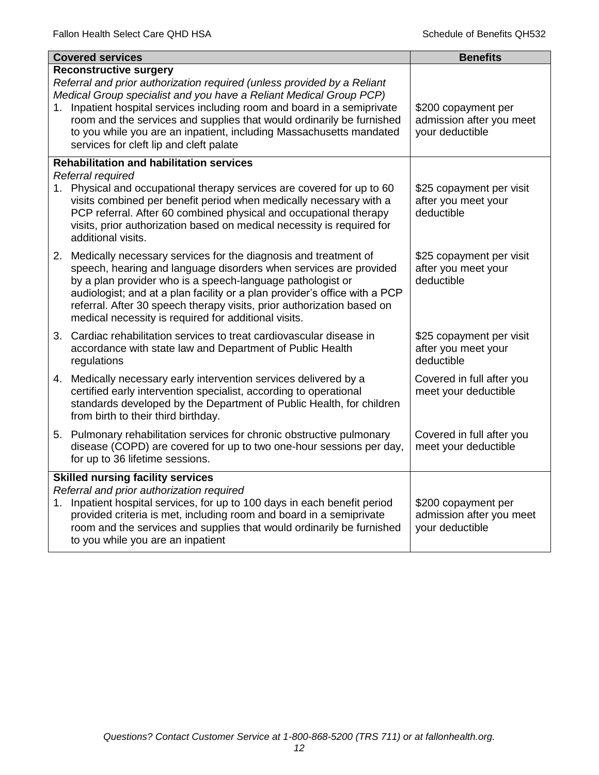|    | <b>Covered services</b>                                                                                                                                                                                                                                                                                                                                                                                                                               | <b>Benefits</b>                                                    |
|----|-------------------------------------------------------------------------------------------------------------------------------------------------------------------------------------------------------------------------------------------------------------------------------------------------------------------------------------------------------------------------------------------------------------------------------------------------------|--------------------------------------------------------------------|
|    | <b>Reconstructive surgery</b><br>Referral and prior authorization required (unless provided by a Reliant<br>Medical Group specialist and you have a Reliant Medical Group PCP)<br>1. Inpatient hospital services including room and board in a semiprivate<br>room and the services and supplies that would ordinarily be furnished<br>to you while you are an inpatient, including Massachusetts mandated<br>services for cleft lip and cleft palate | \$200 copayment per<br>admission after you meet<br>your deductible |
|    | <b>Rehabilitation and habilitation services</b><br>Referral required                                                                                                                                                                                                                                                                                                                                                                                  |                                                                    |
|    | 1. Physical and occupational therapy services are covered for up to 60<br>visits combined per benefit period when medically necessary with a<br>PCP referral. After 60 combined physical and occupational therapy<br>visits, prior authorization based on medical necessity is required for<br>additional visits.                                                                                                                                     | \$25 copayment per visit<br>after you meet your<br>deductible      |
|    | 2. Medically necessary services for the diagnosis and treatment of<br>speech, hearing and language disorders when services are provided<br>by a plan provider who is a speech-language pathologist or<br>audiologist; and at a plan facility or a plan provider's office with a PCP<br>referral. After 30 speech therapy visits, prior authorization based on<br>medical necessity is required for additional visits.                                 | \$25 copayment per visit<br>after you meet your<br>deductible      |
|    | 3. Cardiac rehabilitation services to treat cardiovascular disease in<br>accordance with state law and Department of Public Health<br>regulations                                                                                                                                                                                                                                                                                                     | \$25 copayment per visit<br>after you meet your<br>deductible      |
|    | 4. Medically necessary early intervention services delivered by a<br>certified early intervention specialist, according to operational<br>standards developed by the Department of Public Health, for children<br>from birth to their third birthday.                                                                                                                                                                                                 | Covered in full after you<br>meet your deductible                  |
|    | 5. Pulmonary rehabilitation services for chronic obstructive pulmonary<br>disease (COPD) are covered for up to two one-hour sessions per day,<br>for up to 36 lifetime sessions.                                                                                                                                                                                                                                                                      | Covered in full after you<br>meet your deductible                  |
| 1. | <b>Skilled nursing facility services</b><br>Referral and prior authorization required<br>Inpatient hospital services, for up to 100 days in each benefit period<br>provided criteria is met, including room and board in a semiprivate<br>room and the services and supplies that would ordinarily be furnished<br>to you while you are an inpatient                                                                                                  | \$200 copayment per<br>admission after you meet<br>your deductible |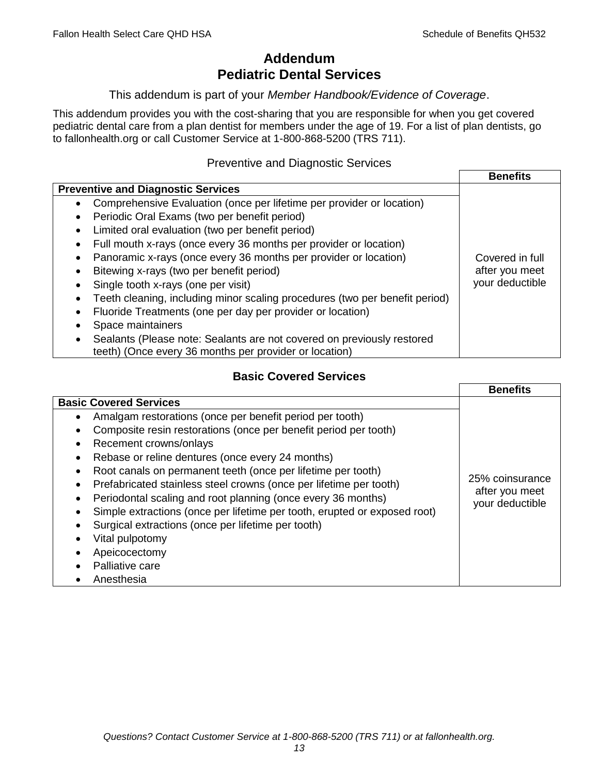# **Addendum Pediatric Dental Services**

## This addendum is part of your *Member Handbook/Evidence of Coverage*.

This addendum provides you with the cost-sharing that you are responsible for when you get covered pediatric dental care from a plan dentist for members under the age of 19. For a list of plan dentists, go to fallonhealth.org or call Customer Service at 1-800-868-5200 (TRS 711).

# Preventive and Diagnostic Services

|                                                                                    | <b>Benefits</b> |
|------------------------------------------------------------------------------------|-----------------|
| <b>Preventive and Diagnostic Services</b>                                          |                 |
| Comprehensive Evaluation (once per lifetime per provider or location)<br>$\bullet$ |                 |
| Periodic Oral Exams (two per benefit period)<br>$\bullet$                          |                 |
| Limited oral evaluation (two per benefit period)                                   |                 |
| Full mouth x-rays (once every 36 months per provider or location)                  |                 |
| Panoramic x-rays (once every 36 months per provider or location)                   | Covered in full |
| Bitewing x-rays (two per benefit period)                                           | after you meet  |
| Single tooth x-rays (one per visit)                                                | your deductible |
| Teeth cleaning, including minor scaling procedures (two per benefit period)        |                 |
| Fluoride Treatments (one per day per provider or location)                         |                 |
| Space maintainers                                                                  |                 |
| Sealants (Please note: Sealants are not covered on previously restored             |                 |
| teeth) (Once every 36 months per provider or location)                             |                 |

# **Basic Covered Services**

|                                                                           | <b>Benefits</b>                   |
|---------------------------------------------------------------------------|-----------------------------------|
| <b>Basic Covered Services</b>                                             |                                   |
| Amalgam restorations (once per benefit period per tooth)                  |                                   |
| Composite resin restorations (once per benefit period per tooth)          |                                   |
| Recement crowns/onlays                                                    |                                   |
| Rebase or reline dentures (once every 24 months)                          |                                   |
| Root canals on permanent teeth (once per lifetime per tooth)              |                                   |
| Prefabricated stainless steel crowns (once per lifetime per tooth)        | 25% coinsurance                   |
| Periodontal scaling and root planning (once every 36 months)              | after you meet<br>your deductible |
| Simple extractions (once per lifetime per tooth, erupted or exposed root) |                                   |
| Surgical extractions (once per lifetime per tooth)                        |                                   |
| Vital pulpotomy                                                           |                                   |
| Apeicocectomy                                                             |                                   |
| Palliative care                                                           |                                   |
| Anesthesia                                                                |                                   |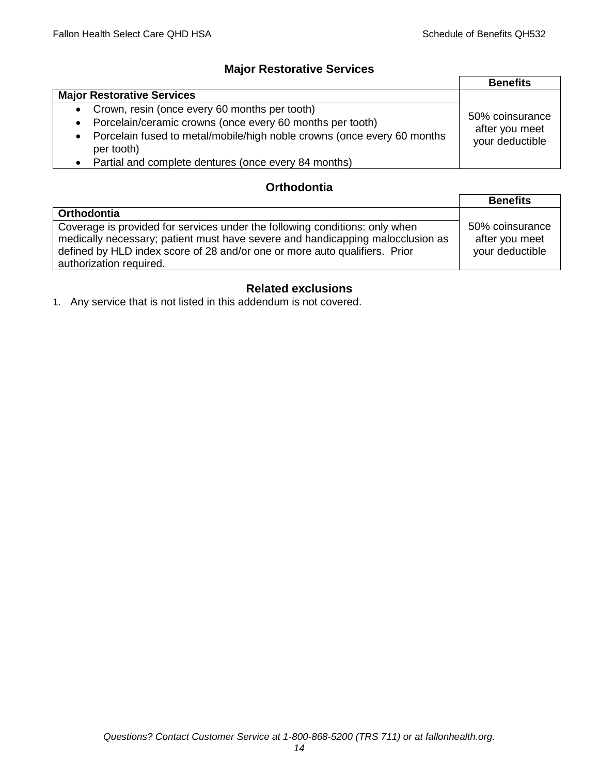# **Major Restorative Services**

|                                                                                                    | <b>Benefits</b>                   |
|----------------------------------------------------------------------------------------------------|-----------------------------------|
| <b>Major Restorative Services</b>                                                                  |                                   |
| Crown, resin (once every 60 months per tooth)<br>$\bullet$                                         | 50% coinsurance<br>after you meet |
| Porcelain/ceramic crowns (once every 60 months per tooth)<br>$\bullet$                             |                                   |
| Porcelain fused to metal/mobile/high noble crowns (once every 60 months<br>$\bullet$<br>per tooth) | your deductible                   |
| Partial and complete dentures (once every 84 months)                                               |                                   |

# **Orthodontia**

|                                                                                                                                                                                                                                                                        | <b>Benefits</b>                                      |
|------------------------------------------------------------------------------------------------------------------------------------------------------------------------------------------------------------------------------------------------------------------------|------------------------------------------------------|
| Orthodontia                                                                                                                                                                                                                                                            |                                                      |
| Coverage is provided for services under the following conditions: only when<br>medically necessary; patient must have severe and handicapping malocclusion as<br>defined by HLD index score of 28 and/or one or more auto qualifiers. Prior<br>authorization required. | 50% coinsurance<br>after you meet<br>your deductible |

# **Related exclusions**

1. Any service that is not listed in this addendum is not covered.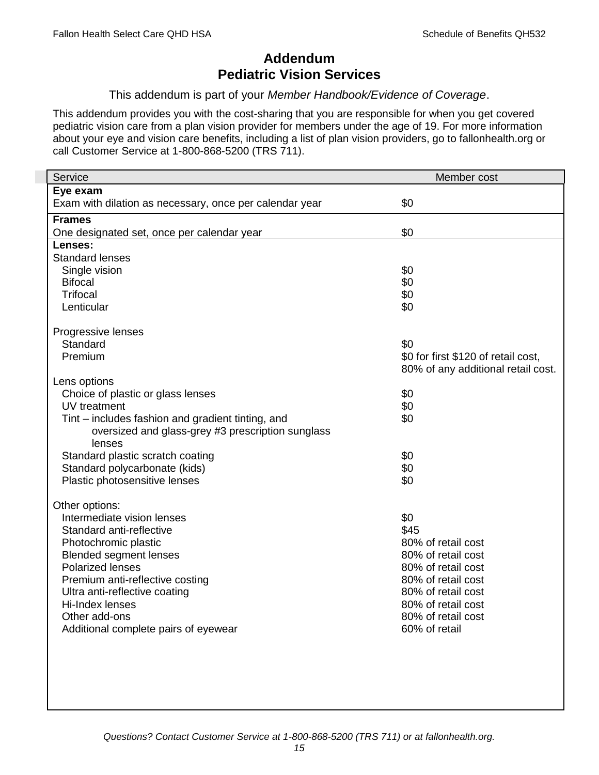# **Addendum Pediatric Vision Services**

### This addendum is part of your *Member Handbook/Evidence of Coverage*.

This addendum provides you with the cost-sharing that you are responsible for when you get covered pediatric vision care from a plan vision provider for members under the age of 19. For more information about your eye and vision care benefits, including a list of plan vision providers, go to fallonhealth.org or call Customer Service at 1-800-868-5200 (TRS 711).

| Service                                                 | Member cost                         |
|---------------------------------------------------------|-------------------------------------|
| Eye exam                                                |                                     |
| Exam with dilation as necessary, once per calendar year | \$0                                 |
| <b>Frames</b>                                           |                                     |
| One designated set, once per calendar year              | \$0                                 |
| Lenses:                                                 |                                     |
| <b>Standard lenses</b>                                  |                                     |
| Single vision                                           | \$0                                 |
| <b>Bifocal</b>                                          | \$0                                 |
| <b>Trifocal</b>                                         | \$0                                 |
| Lenticular                                              | \$0                                 |
| Progressive lenses                                      |                                     |
| Standard                                                | \$0                                 |
| Premium                                                 | \$0 for first \$120 of retail cost, |
|                                                         | 80% of any additional retail cost.  |
| Lens options                                            |                                     |
| Choice of plastic or glass lenses                       | \$0                                 |
| UV treatment                                            | \$0                                 |
| Tint – includes fashion and gradient tinting, and       | \$0                                 |
| oversized and glass-grey #3 prescription sunglass       |                                     |
| lenses                                                  |                                     |
| Standard plastic scratch coating                        | \$0                                 |
| Standard polycarbonate (kids)                           | \$0                                 |
| Plastic photosensitive lenses                           | \$0                                 |
| Other options:                                          |                                     |
| Intermediate vision lenses                              | \$0                                 |
| Standard anti-reflective                                | \$45                                |
| Photochromic plastic                                    | 80% of retail cost                  |
| <b>Blended segment lenses</b>                           | 80% of retail cost                  |
| <b>Polarized lenses</b>                                 | 80% of retail cost                  |
| Premium anti-reflective costing                         | 80% of retail cost                  |
| Ultra anti-reflective coating                           | 80% of retail cost                  |
| Hi-Index lenses                                         | 80% of retail cost                  |
| Other add-ons                                           | 80% of retail cost                  |
| Additional complete pairs of eyewear                    | 60% of retail                       |
|                                                         |                                     |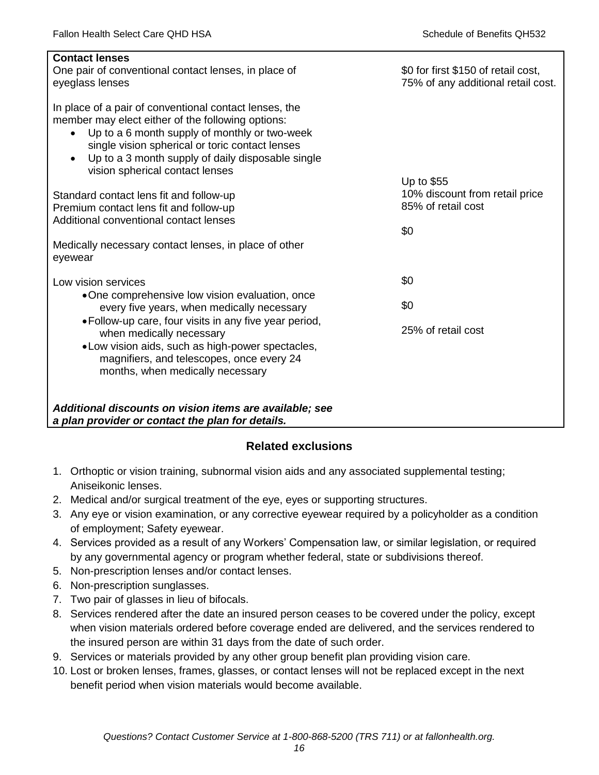| <b>Contact lenses</b><br>One pair of conventional contact lenses, in place of<br>eyeglass lenses                                                                                                                                                                                                                                  | \$0 for first \$150 of retail cost,<br>75% of any additional retail cost. |
|-----------------------------------------------------------------------------------------------------------------------------------------------------------------------------------------------------------------------------------------------------------------------------------------------------------------------------------|---------------------------------------------------------------------------|
| In place of a pair of conventional contact lenses, the<br>member may elect either of the following options:<br>Up to a 6 month supply of monthly or two-week<br>$\bullet$<br>single vision spherical or toric contact lenses<br>Up to a 3 month supply of daily disposable single<br>$\bullet$<br>vision spherical contact lenses | Up to $$55$                                                               |
| Standard contact lens fit and follow-up                                                                                                                                                                                                                                                                                           | 10% discount from retail price                                            |
| Premium contact lens fit and follow-up                                                                                                                                                                                                                                                                                            | 85% of retail cost                                                        |
| Additional conventional contact lenses                                                                                                                                                                                                                                                                                            | \$0                                                                       |
| Medically necessary contact lenses, in place of other<br>eyewear                                                                                                                                                                                                                                                                  |                                                                           |
| Low vision services                                                                                                                                                                                                                                                                                                               | \$0                                                                       |
| •One comprehensive low vision evaluation, once<br>every five years, when medically necessary                                                                                                                                                                                                                                      | \$0                                                                       |
| • Follow-up care, four visits in any five year period,<br>when medically necessary<br>.Low vision aids, such as high-power spectacles,<br>magnifiers, and telescopes, once every 24<br>months, when medically necessary                                                                                                           | 25% of retail cost                                                        |
| Additional discounts on vision items are available; see<br>a plan provider or contact the plan for details.                                                                                                                                                                                                                       |                                                                           |

# **Related exclusions**

- 1. Orthoptic or vision training, subnormal vision aids and any associated supplemental testing; Aniseikonic lenses.
- 2. Medical and/or surgical treatment of the eye, eyes or supporting structures.
- 3. Any eye or vision examination, or any corrective eyewear required by a policyholder as a condition of employment; Safety eyewear.
- 4. Services provided as a result of any Workers' Compensation law, or similar legislation, or required by any governmental agency or program whether federal, state or subdivisions thereof.
- 5. Non-prescription lenses and/or contact lenses.
- 6. Non-prescription sunglasses.
- 7. Two pair of glasses in lieu of bifocals.
- 8. Services rendered after the date an insured person ceases to be covered under the policy, except when vision materials ordered before coverage ended are delivered, and the services rendered to the insured person are within 31 days from the date of such order.
- 9. Services or materials provided by any other group benefit plan providing vision care.
- 10. Lost or broken lenses, frames, glasses, or contact lenses will not be replaced except in the next benefit period when vision materials would become available.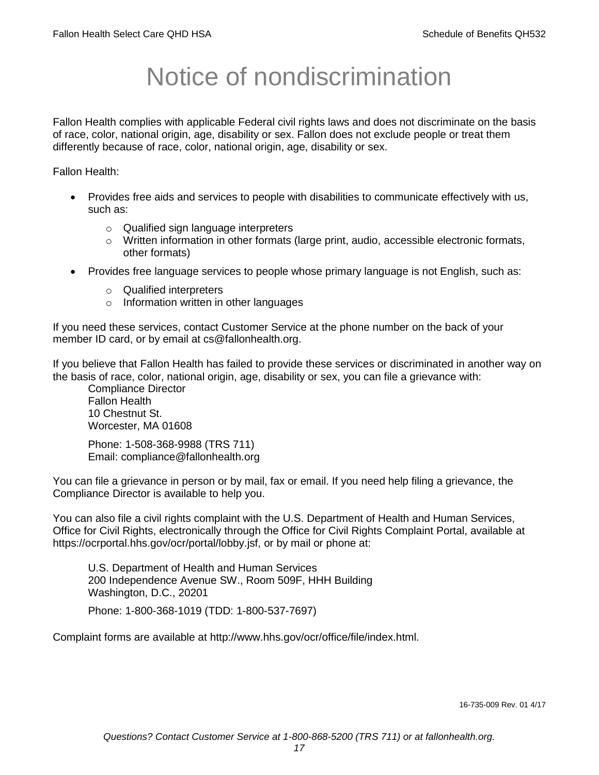# Notice of nondiscrimination

Fallon Health complies with applicable Federal civil rights laws and does not discriminate on the basis of race, color, national origin, age, disability or sex. Fallon does not exclude people or treat them differently because of race, color, national origin, age, disability or sex.

Fallon Health:

- Provides free aids and services to people with disabilities to communicate effectively with us, such as:
	- o Qualified sign language interpreters
	- $\circ$  Written information in other formats (large print, audio, accessible electronic formats, other formats)
- Provides free language services to people whose primary language is not English, such as:
	- o Qualified interpreters
	- o Information written in other languages

If you need these services, contact Customer Service at the phone number on the back of your member ID card, or by email at cs@fallonhealth.org.

If you believe that Fallon Health has failed to provide these services or discriminated in another way on the basis of race, color, national origin, age, disability or sex, you can file a grievance with:

Compliance Director Fallon Health 10 Chestnut St. Worcester, MA 01608

Phone: 1-508-368-9988 (TRS 711) Email: compliance@fallonhealth.org

You can file a grievance in person or by mail, fax or email. If you need help filing a grievance, the Compliance Director is available to help you.

You can also file a civil rights complaint with the U.S. Department of Health and Human Services, Office for Civil Rights, electronically through the Office for Civil Rights Complaint Portal, available at https://ocrportal.hhs.gov/ocr/portal/lobby.jsf, or by mail or phone at:

U.S. Department of Health and Human Services 200 Independence Avenue SW., Room 509F, HHH Building Washington, D.C., 20201

Phone: 1-800-368-1019 (TDD: 1-800-537-7697)

Complaint forms are available at http://www.hhs.gov/ocr/office/file/index.html.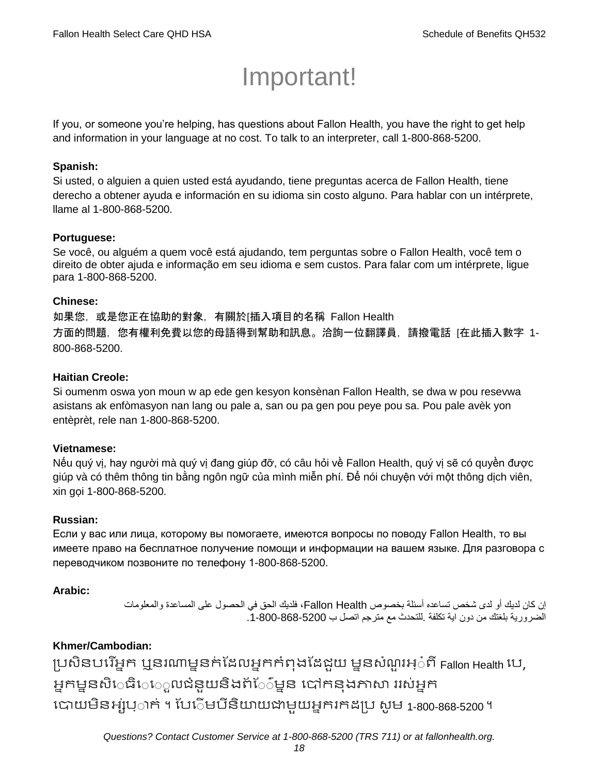# Important!

If you, or someone you're helping, has questions about Fallon Health, you have the right to get help and information in your language at no cost. To talk to an interpreter, call 1-800-868-5200.

## **Spanish:**

Si usted, o alguien a quien usted está ayudando, tiene preguntas acerca de Fallon Health, tiene derecho a obtener ayuda e información en su idioma sin costo alguno. Para hablar con un intérprete, llame al 1-800-868-5200.

# **Portuguese:**

Se você, ou alguém a quem você está ajudando, tem perguntas sobre o Fallon Health, você tem o direito de obter ajuda e informação em seu idioma e sem custos. Para falar com um intérprete, ligue para 1-800-868-5200.

## **Chinese:**

如果您,或是您正在協助的對象,有關於[插入項目的名稱 Fallon Health 方面的問題,您有權利免費以您的母語得到幫助和訊息。洽詢一位翻譯員,請撥電話 [在此插入數字 1- 800-868-5200.

# **Haitian Creole:**

Si oumenm oswa yon moun w ap ede gen kesyon konsènan Fallon Health, se dwa w pou resevwa asistans ak enfòmasyon nan lang ou pale a, san ou pa gen pou peye pou sa. Pou pale avèk yon entèprèt, rele nan 1-800-868-5200.

### **Vietnamese:**

Nếu quý vị, hay người mà quý vị đang giúp đỡ, có câu hỏi về Fallon Health, quý vị sẽ có quyền được giúp và có thêm thông tin bằng ngôn ngữ của mình miễn phí. Để nói chuyện với một thông dịch viên, xin gọi 1-800-868-5200.

### **Russian:**

Если у вас или лица, которому вы помогаете, имеются вопросы по поводу Fallon Health, то вы имеете право на бесплатное получение помощи и информации на вашем языке. Для разговора с переводчиком позвоните по телефону 1-800-868-5200.

# **Arabic:**

إن كان لديك أو لدى شخص تساعده أسئلة بخصوص Health Fallon، فلديك الحق في الحصول على المساعدة والمعلومات الضرورية بلغتك من دون اية تكلفة .للتحدث مع مترجم اتصل ب .1-800-868-5200

# **Khmer/Cambodian:**

ប្រសិនបរើអ្នក ឬនរណាម្ននក់ដែលអ្នកកំពុងដែដួយ ម្ននសំណួរអ្៎ពី Fallon Health បេ, អ្នកម្ននសិេធិេេួលជំនួយនិងព័ែ៌ម្នន បៅកនុងភាសា ររស់អ្នក រោយម្ិនអ្ស់រ្ំ ក់ ។ ដររំម្ រនី ិយាយជាម្ួយអ្នក កែប្រ សូ ម្ 1-800-868-5200 ។

*Questions? Contact Customer Service at 1-800-868-5200 (TRS 711) or at fallonhealth.org.*